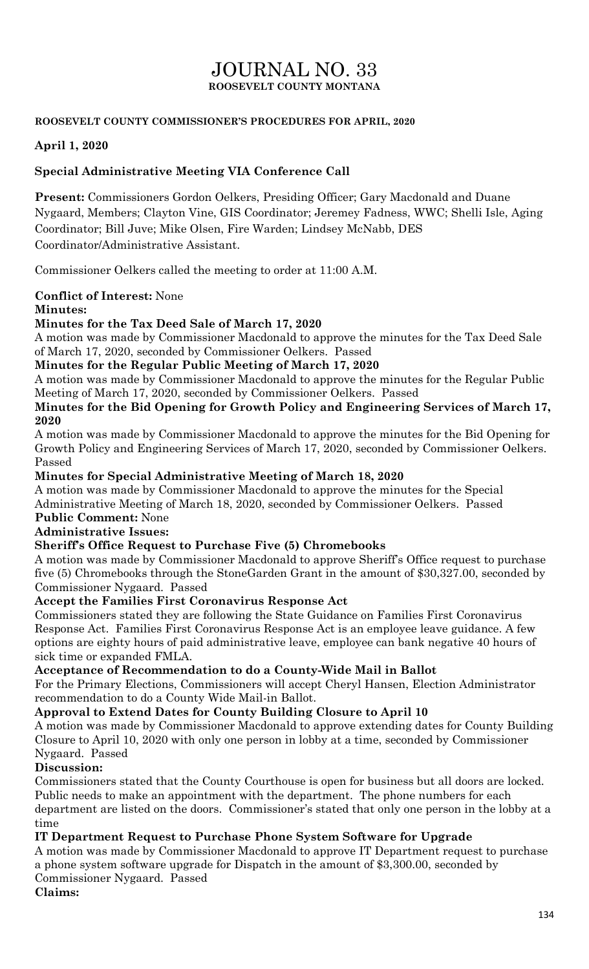# JOURNAL NO. 33 **ROOSEVELT COUNTY MONTANA**

## **ROOSEVELT COUNTY COMMISSIONER'S PROCEDURES FOR APRIL, 2020**

## **April 1, 2020**

## **Special Administrative Meeting VIA Conference Call**

**Present:** Commissioners Gordon Oelkers, Presiding Officer; Gary Macdonald and Duane Nygaard, Members; Clayton Vine, GIS Coordinator; Jeremey Fadness, WWC; Shelli Isle, Aging Coordinator; Bill Juve; Mike Olsen, Fire Warden; Lindsey McNabb, DES Coordinator/Administrative Assistant.

Commissioner Oelkers called the meeting to order at 11:00 A.M.

# **Conflict of Interest:** None

## **Minutes:**

## **Minutes for the Tax Deed Sale of March 17, 2020**

A motion was made by Commissioner Macdonald to approve the minutes for the Tax Deed Sale of March 17, 2020, seconded by Commissioner Oelkers. Passed

## **Minutes for the Regular Public Meeting of March 17, 2020**

A motion was made by Commissioner Macdonald to approve the minutes for the Regular Public Meeting of March 17, 2020, seconded by Commissioner Oelkers. Passed

**Minutes for the Bid Opening for Growth Policy and Engineering Services of March 17, 2020**

A motion was made by Commissioner Macdonald to approve the minutes for the Bid Opening for Growth Policy and Engineering Services of March 17, 2020, seconded by Commissioner Oelkers. Passed

**Minutes for Special Administrative Meeting of March 18, 2020**

A motion was made by Commissioner Macdonald to approve the minutes for the Special Administrative Meeting of March 18, 2020, seconded by Commissioner Oelkers. Passed

## **Public Comment:** None

## **Administrative Issues:**

### **Sheriff's Office Request to Purchase Five (5) Chromebooks**

A motion was made by Commissioner Macdonald to approve Sheriff's Office request to purchase five (5) Chromebooks through the StoneGarden Grant in the amount of \$30,327.00, seconded by Commissioner Nygaard. Passed

### **Accept the Families First Coronavirus Response Act**

Commissioners stated they are following the State Guidance on Families First Coronavirus Response Act. Families First Coronavirus Response Act is an employee leave guidance. A few options are eighty hours of paid administrative leave, employee can bank negative 40 hours of sick time or expanded FMLA.

### **Acceptance of Recommendation to do a County-Wide Mail in Ballot**

For the Primary Elections, Commissioners will accept Cheryl Hansen, Election Administrator recommendation to do a County Wide Mail-in Ballot.

### **Approval to Extend Dates for County Building Closure to April 10**

A motion was made by Commissioner Macdonald to approve extending dates for County Building Closure to April 10, 2020 with only one person in lobby at a time, seconded by Commissioner Nygaard. Passed

### **Discussion:**

Commissioners stated that the County Courthouse is open for business but all doors are locked. Public needs to make an appointment with the department. The phone numbers for each department are listed on the doors. Commissioner's stated that only one person in the lobby at a time

## **IT Department Request to Purchase Phone System Software for Upgrade**

A motion was made by Commissioner Macdonald to approve IT Department request to purchase a phone system software upgrade for Dispatch in the amount of \$3,300.00, seconded by Commissioner Nygaard. Passed

## **Claims:**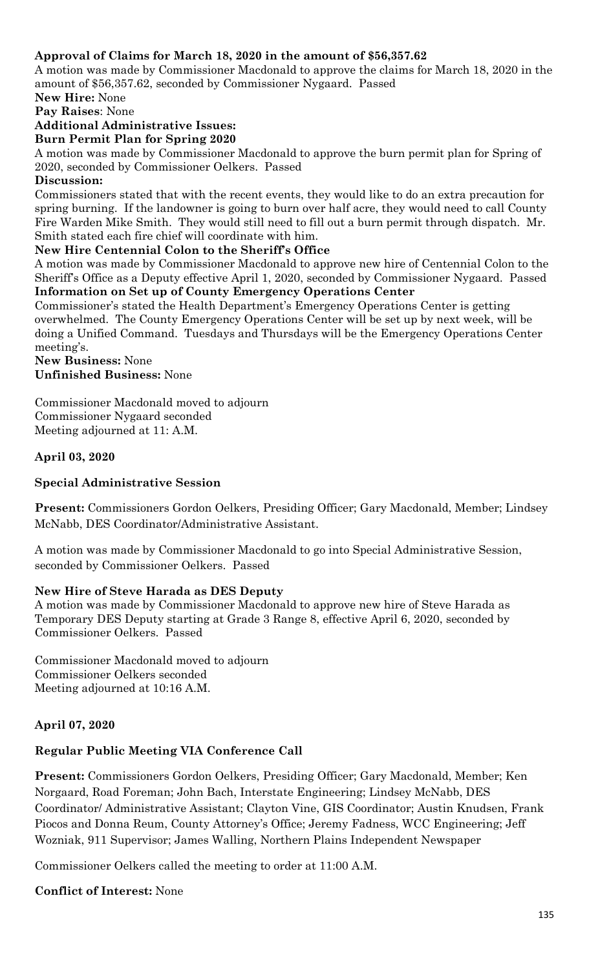## **Approval of Claims for March 18, 2020 in the amount of \$56,357.62**

A motion was made by Commissioner Macdonald to approve the claims for March 18, 2020 in the amount of \$56,357.62, seconded by Commissioner Nygaard. Passed

**New Hire:** None

**Pay Raises**: None

## **Additional Administrative Issues:**

#### **Burn Permit Plan for Spring 2020**

A motion was made by Commissioner Macdonald to approve the burn permit plan for Spring of 2020, seconded by Commissioner Oelkers. Passed

### **Discussion:**

Commissioners stated that with the recent events, they would like to do an extra precaution for spring burning. If the landowner is going to burn over half acre, they would need to call County Fire Warden Mike Smith. They would still need to fill out a burn permit through dispatch. Mr. Smith stated each fire chief will coordinate with him.

#### **New Hire Centennial Colon to the Sheriff's Office**

A motion was made by Commissioner Macdonald to approve new hire of Centennial Colon to the Sheriff's Office as a Deputy effective April 1, 2020, seconded by Commissioner Nygaard. Passed **Information on Set up of County Emergency Operations Center**

Commissioner's stated the Health Department's Emergency Operations Center is getting overwhelmed. The County Emergency Operations Center will be set up by next week, will be doing a Unified Command. Tuesdays and Thursdays will be the Emergency Operations Center meeting's.

#### **New Business:** None **Unfinished Business:** None

Commissioner Macdonald moved to adjourn Commissioner Nygaard seconded Meeting adjourned at 11: A.M.

### **April 03, 2020**

### **Special Administrative Session**

**Present:** Commissioners Gordon Oelkers, Presiding Officer; Gary Macdonald, Member; Lindsey McNabb, DES Coordinator/Administrative Assistant.

A motion was made by Commissioner Macdonald to go into Special Administrative Session, seconded by Commissioner Oelkers. Passed

#### **New Hire of Steve Harada as DES Deputy**

A motion was made by Commissioner Macdonald to approve new hire of Steve Harada as Temporary DES Deputy starting at Grade 3 Range 8, effective April 6, 2020, seconded by Commissioner Oelkers. Passed

Commissioner Macdonald moved to adjourn Commissioner Oelkers seconded Meeting adjourned at 10:16 A.M.

### **April 07, 2020**

### **Regular Public Meeting VIA Conference Call**

**Present:** Commissioners Gordon Oelkers, Presiding Officer; Gary Macdonald, Member; Ken Norgaard, Road Foreman; John Bach, Interstate Engineering; Lindsey McNabb, DES Coordinator/ Administrative Assistant; Clayton Vine, GIS Coordinator; Austin Knudsen, Frank Piocos and Donna Reum, County Attorney's Office; Jeremy Fadness, WCC Engineering; Jeff Wozniak, 911 Supervisor; James Walling, Northern Plains Independent Newspaper

Commissioner Oelkers called the meeting to order at 11:00 A.M.

**Conflict of Interest:** None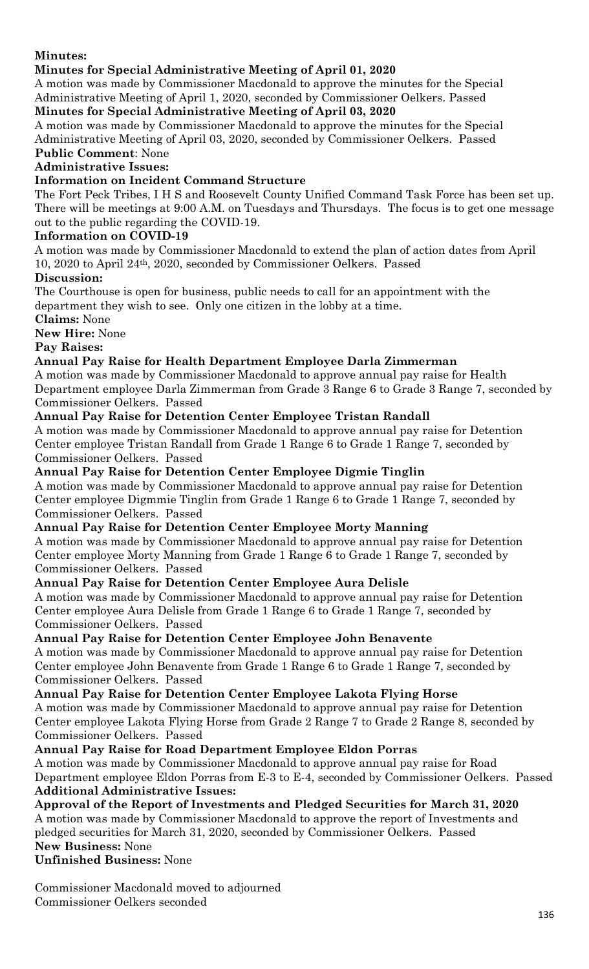**Minutes:** 

## **Minutes for Special Administrative Meeting of April 01, 2020**

A motion was made by Commissioner Macdonald to approve the minutes for the Special Administrative Meeting of April 1, 2020, seconded by Commissioner Oelkers. Passed

## **Minutes for Special Administrative Meeting of April 03, 2020**

A motion was made by Commissioner Macdonald to approve the minutes for the Special Administrative Meeting of April 03, 2020, seconded by Commissioner Oelkers. Passed **Public Comment**: None

## **Administrative Issues:**

## **Information on Incident Command Structure**

The Fort Peck Tribes, I H S and Roosevelt County Unified Command Task Force has been set up. There will be meetings at 9:00 A.M. on Tuesdays and Thursdays. The focus is to get one message out to the public regarding the COVID-19.

## **Information on COVID-19**

A motion was made by Commissioner Macdonald to extend the plan of action dates from April 10, 2020 to April 24th, 2020, seconded by Commissioner Oelkers. Passed

### **Discussion:**

The Courthouse is open for business, public needs to call for an appointment with the department they wish to see. Only one citizen in the lobby at a time.

**Claims:** None

**New Hire:** None

**Pay Raises:**

## **Annual Pay Raise for Health Department Employee Darla Zimmerman**

A motion was made by Commissioner Macdonald to approve annual pay raise for Health Department employee Darla Zimmerman from Grade 3 Range 6 to Grade 3 Range 7, seconded by Commissioner Oelkers. Passed

## **Annual Pay Raise for Detention Center Employee Tristan Randall**

A motion was made by Commissioner Macdonald to approve annual pay raise for Detention Center employee Tristan Randall from Grade 1 Range 6 to Grade 1 Range 7, seconded by Commissioner Oelkers. Passed

## **Annual Pay Raise for Detention Center Employee Digmie Tinglin**

A motion was made by Commissioner Macdonald to approve annual pay raise for Detention Center employee Digmmie Tinglin from Grade 1 Range 6 to Grade 1 Range 7, seconded by Commissioner Oelkers. Passed

## **Annual Pay Raise for Detention Center Employee Morty Manning**

A motion was made by Commissioner Macdonald to approve annual pay raise for Detention Center employee Morty Manning from Grade 1 Range 6 to Grade 1 Range 7, seconded by Commissioner Oelkers. Passed

### **Annual Pay Raise for Detention Center Employee Aura Delisle**

A motion was made by Commissioner Macdonald to approve annual pay raise for Detention Center employee Aura Delisle from Grade 1 Range 6 to Grade 1 Range 7, seconded by Commissioner Oelkers. Passed

## **Annual Pay Raise for Detention Center Employee John Benavente**

A motion was made by Commissioner Macdonald to approve annual pay raise for Detention Center employee John Benavente from Grade 1 Range 6 to Grade 1 Range 7, seconded by Commissioner Oelkers. Passed

### **Annual Pay Raise for Detention Center Employee Lakota Flying Horse**

A motion was made by Commissioner Macdonald to approve annual pay raise for Detention Center employee Lakota Flying Horse from Grade 2 Range 7 to Grade 2 Range 8, seconded by Commissioner Oelkers. Passed

## **Annual Pay Raise for Road Department Employee Eldon Porras**

A motion was made by Commissioner Macdonald to approve annual pay raise for Road Department employee Eldon Porras from E-3 to E-4, seconded by Commissioner Oelkers. Passed **Additional Administrative Issues:**

## **Approval of the Report of Investments and Pledged Securities for March 31, 2020**

A motion was made by Commissioner Macdonald to approve the report of Investments and pledged securities for March 31, 2020, seconded by Commissioner Oelkers. Passed **New Business:** None

**Unfinished Business:** None

Commissioner Macdonald moved to adjourned Commissioner Oelkers seconded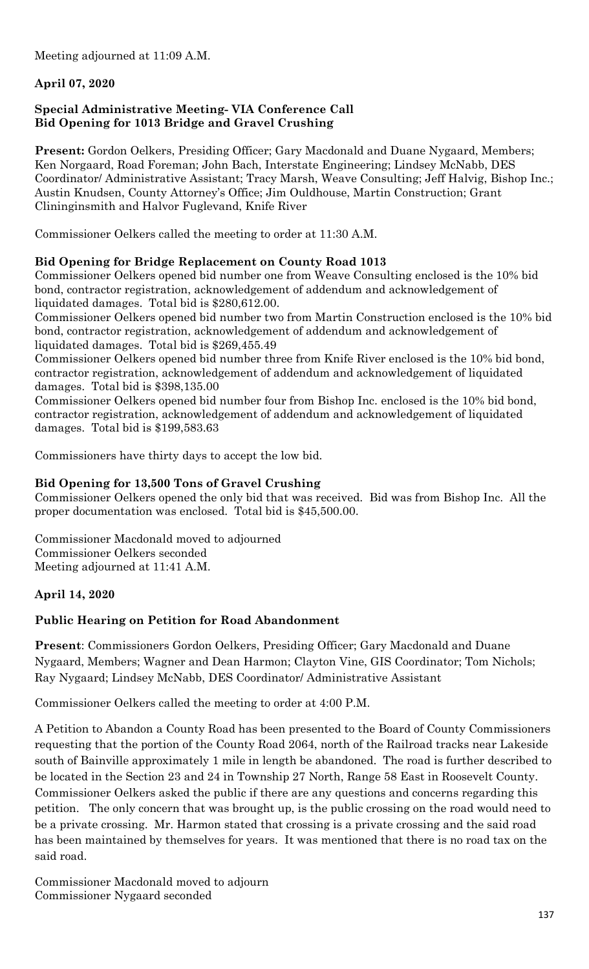Meeting adjourned at 11:09 A.M.

## **April 07, 2020**

## **Special Administrative Meeting- VIA Conference Call Bid Opening for 1013 Bridge and Gravel Crushing**

**Present:** Gordon Oelkers, Presiding Officer; Gary Macdonald and Duane Nygaard, Members; Ken Norgaard, Road Foreman; John Bach, Interstate Engineering; Lindsey McNabb, DES Coordinator/ Administrative Assistant; Tracy Marsh, Weave Consulting; Jeff Halvig, Bishop Inc.; Austin Knudsen, County Attorney's Office; Jim Ouldhouse, Martin Construction; Grant Clininginsmith and Halvor Fuglevand, Knife River

Commissioner Oelkers called the meeting to order at 11:30 A.M.

## **Bid Opening for Bridge Replacement on County Road 1013**

Commissioner Oelkers opened bid number one from Weave Consulting enclosed is the 10% bid bond, contractor registration, acknowledgement of addendum and acknowledgement of liquidated damages. Total bid is \$280,612.00.

Commissioner Oelkers opened bid number two from Martin Construction enclosed is the 10% bid bond, contractor registration, acknowledgement of addendum and acknowledgement of liquidated damages. Total bid is \$269,455.49

Commissioner Oelkers opened bid number three from Knife River enclosed is the 10% bid bond, contractor registration, acknowledgement of addendum and acknowledgement of liquidated damages. Total bid is \$398,135.00

Commissioner Oelkers opened bid number four from Bishop Inc. enclosed is the 10% bid bond, contractor registration, acknowledgement of addendum and acknowledgement of liquidated damages. Total bid is \$199,583.63

Commissioners have thirty days to accept the low bid.

## **Bid Opening for 13,500 Tons of Gravel Crushing**

Commissioner Oelkers opened the only bid that was received. Bid was from Bishop Inc. All the proper documentation was enclosed. Total bid is \$45,500.00.

Commissioner Macdonald moved to adjourned Commissioner Oelkers seconded Meeting adjourned at 11:41 A.M.

## **April 14, 2020**

## **Public Hearing on Petition for Road Abandonment**

**Present**: Commissioners Gordon Oelkers, Presiding Officer; Gary Macdonald and Duane Nygaard, Members; Wagner and Dean Harmon; Clayton Vine, GIS Coordinator; Tom Nichols; Ray Nygaard; Lindsey McNabb, DES Coordinator/ Administrative Assistant

Commissioner Oelkers called the meeting to order at 4:00 P.M.

A Petition to Abandon a County Road has been presented to the Board of County Commissioners requesting that the portion of the County Road 2064, north of the Railroad tracks near Lakeside south of Bainville approximately 1 mile in length be abandoned. The road is further described to be located in the Section 23 and 24 in Township 27 North, Range 58 East in Roosevelt County. Commissioner Oelkers asked the public if there are any questions and concerns regarding this petition. The only concern that was brought up, is the public crossing on the road would need to be a private crossing. Mr. Harmon stated that crossing is a private crossing and the said road has been maintained by themselves for years. It was mentioned that there is no road tax on the said road.

Commissioner Macdonald moved to adjourn Commissioner Nygaard seconded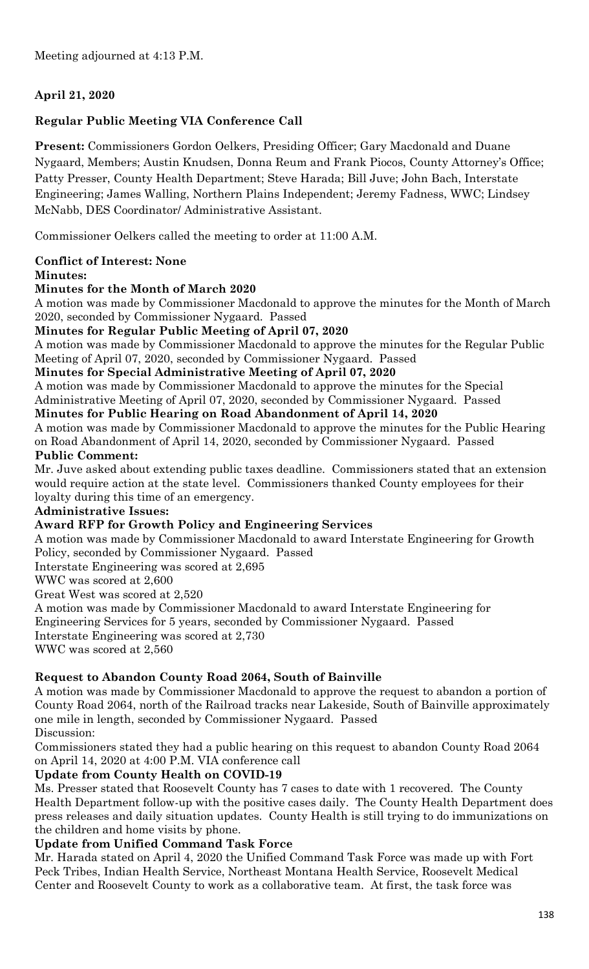## **April 21, 2020**

## **Regular Public Meeting VIA Conference Call**

**Present:** Commissioners Gordon Oelkers, Presiding Officer; Gary Macdonald and Duane Nygaard, Members; Austin Knudsen, Donna Reum and Frank Piocos, County Attorney's Office; Patty Presser, County Health Department; Steve Harada; Bill Juve; John Bach, Interstate Engineering; James Walling, Northern Plains Independent; Jeremy Fadness, WWC; Lindsey McNabb, DES Coordinator/ Administrative Assistant.

Commissioner Oelkers called the meeting to order at 11:00 A.M.

## **Conflict of Interest: None**

#### **Minutes:**

### **Minutes for the Month of March 2020**

A motion was made by Commissioner Macdonald to approve the minutes for the Month of March 2020, seconded by Commissioner Nygaard. Passed

## **Minutes for Regular Public Meeting of April 07, 2020**

A motion was made by Commissioner Macdonald to approve the minutes for the Regular Public Meeting of April 07, 2020, seconded by Commissioner Nygaard. Passed

**Minutes for Special Administrative Meeting of April 07, 2020**

A motion was made by Commissioner Macdonald to approve the minutes for the Special Administrative Meeting of April 07, 2020, seconded by Commissioner Nygaard. Passed

### **Minutes for Public Hearing on Road Abandonment of April 14, 2020**

A motion was made by Commissioner Macdonald to approve the minutes for the Public Hearing on Road Abandonment of April 14, 2020, seconded by Commissioner Nygaard. Passed **Public Comment:**

Mr. Juve asked about extending public taxes deadline. Commissioners stated that an extension would require action at the state level. Commissioners thanked County employees for their loyalty during this time of an emergency.

### **Administrative Issues:**

### **Award RFP for Growth Policy and Engineering Services**

A motion was made by Commissioner Macdonald to award Interstate Engineering for Growth Policy, seconded by Commissioner Nygaard. Passed

Interstate Engineering was scored at 2,695

WWC was scored at 2,600

Great West was scored at 2,520

A motion was made by Commissioner Macdonald to award Interstate Engineering for Engineering Services for 5 years, seconded by Commissioner Nygaard. Passed Interstate Engineering was scored at 2,730 WWC was scored at 2,560

## **Request to Abandon County Road 2064, South of Bainville**

A motion was made by Commissioner Macdonald to approve the request to abandon a portion of County Road 2064, north of the Railroad tracks near Lakeside, South of Bainville approximately one mile in length, seconded by Commissioner Nygaard. Passed Discussion:

Commissioners stated they had a public hearing on this request to abandon County Road 2064 on April 14, 2020 at 4:00 P.M. VIA conference call

### **Update from County Health on COVID-19**

Ms. Presser stated that Roosevelt County has 7 cases to date with 1 recovered. The County Health Department follow-up with the positive cases daily. The County Health Department does press releases and daily situation updates. County Health is still trying to do immunizations on the children and home visits by phone.

### **Update from Unified Command Task Force**

Mr. Harada stated on April 4, 2020 the Unified Command Task Force was made up with Fort Peck Tribes, Indian Health Service, Northeast Montana Health Service, Roosevelt Medical Center and Roosevelt County to work as a collaborative team. At first, the task force was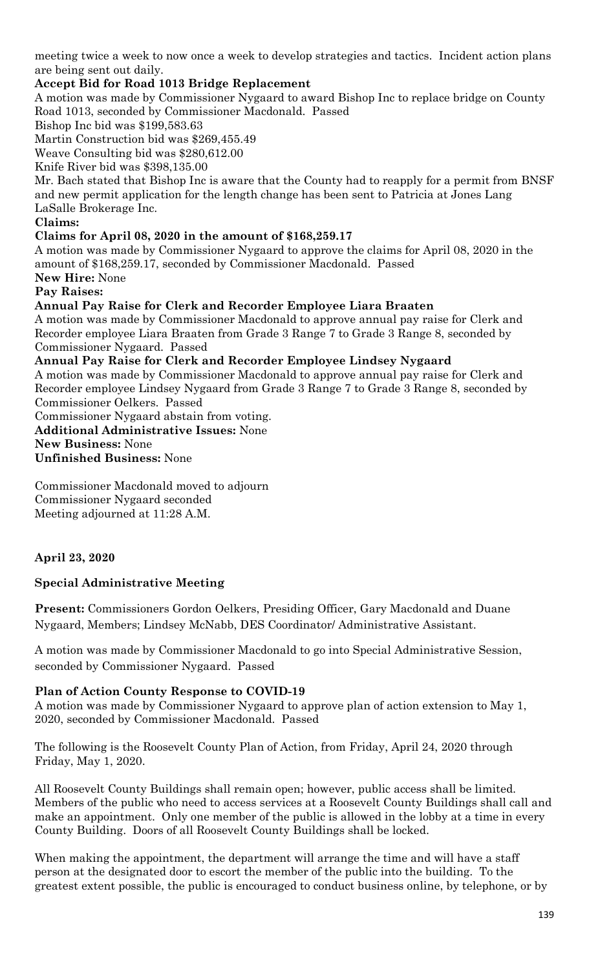meeting twice a week to now once a week to develop strategies and tactics. Incident action plans are being sent out daily.

## **Accept Bid for Road 1013 Bridge Replacement**

A motion was made by Commissioner Nygaard to award Bishop Inc to replace bridge on County Road 1013, seconded by Commissioner Macdonald. Passed

Bishop Inc bid was \$199,583.63

Martin Construction bid was \$269,455.49

Weave Consulting bid was \$280,612.00

Knife River bid was \$398,135.00

Mr. Bach stated that Bishop Inc is aware that the County had to reapply for a permit from BNSF and new permit application for the length change has been sent to Patricia at Jones Lang LaSalle Brokerage Inc.

#### **Claims:**

#### **Claims for April 08, 2020 in the amount of \$168,259.17**

A motion was made by Commissioner Nygaard to approve the claims for April 08, 2020 in the amount of \$168,259.17, seconded by Commissioner Macdonald. Passed **New Hire:** None

## **Pay Raises:**

**Annual Pay Raise for Clerk and Recorder Employee Liara Braaten** 

A motion was made by Commissioner Macdonald to approve annual pay raise for Clerk and Recorder employee Liara Braaten from Grade 3 Range 7 to Grade 3 Range 8, seconded by Commissioner Nygaard. Passed

**Annual Pay Raise for Clerk and Recorder Employee Lindsey Nygaard**

A motion was made by Commissioner Macdonald to approve annual pay raise for Clerk and Recorder employee Lindsey Nygaard from Grade 3 Range 7 to Grade 3 Range 8, seconded by Commissioner Oelkers. Passed

Commissioner Nygaard abstain from voting.

**Additional Administrative Issues:** None

**New Business:** None

**Unfinished Business:** None

Commissioner Macdonald moved to adjourn Commissioner Nygaard seconded Meeting adjourned at 11:28 A.M.

### **April 23, 2020**

### **Special Administrative Meeting**

**Present:** Commissioners Gordon Oelkers, Presiding Officer, Gary Macdonald and Duane Nygaard, Members; Lindsey McNabb, DES Coordinator/ Administrative Assistant.

A motion was made by Commissioner Macdonald to go into Special Administrative Session, seconded by Commissioner Nygaard. Passed

### **Plan of Action County Response to COVID-19**

A motion was made by Commissioner Nygaard to approve plan of action extension to May 1, 2020, seconded by Commissioner Macdonald. Passed

The following is the Roosevelt County Plan of Action, from Friday, April 24, 2020 through Friday, May 1, 2020.

All Roosevelt County Buildings shall remain open; however, public access shall be limited. Members of the public who need to access services at a Roosevelt County Buildings shall call and make an appointment. Only one member of the public is allowed in the lobby at a time in every County Building. Doors of all Roosevelt County Buildings shall be locked.

When making the appointment, the department will arrange the time and will have a staff person at the designated door to escort the member of the public into the building. To the greatest extent possible, the public is encouraged to conduct business online, by telephone, or by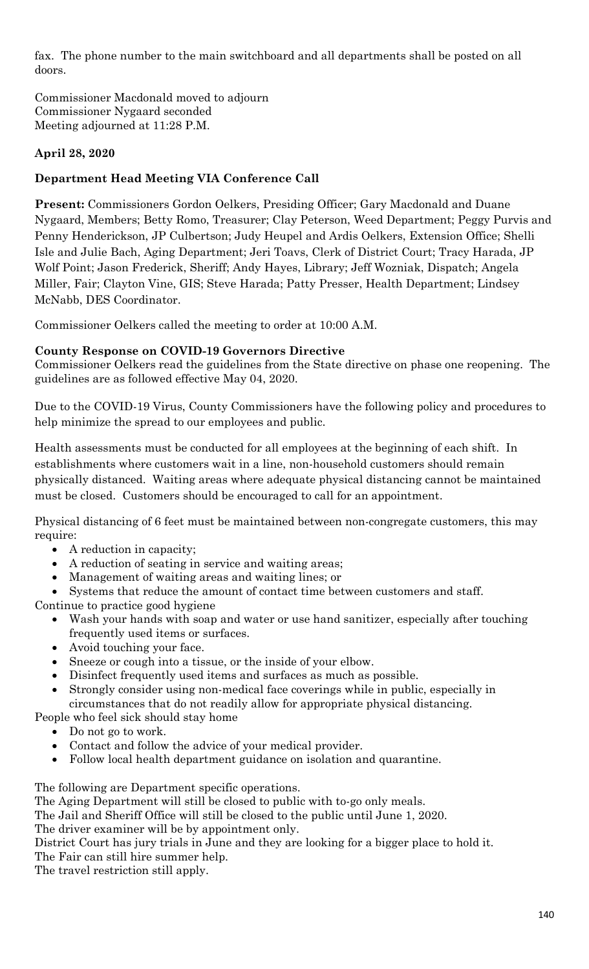fax. The phone number to the main switchboard and all departments shall be posted on all doors.

Commissioner Macdonald moved to adjourn Commissioner Nygaard seconded Meeting adjourned at 11:28 P.M.

## **April 28, 2020**

## **Department Head Meeting VIA Conference Call**

**Present:** Commissioners Gordon Oelkers, Presiding Officer; Gary Macdonald and Duane Nygaard, Members; Betty Romo, Treasurer; Clay Peterson, Weed Department; Peggy Purvis and Penny Henderickson, JP Culbertson; Judy Heupel and Ardis Oelkers, Extension Office; Shelli Isle and Julie Bach, Aging Department; Jeri Toavs, Clerk of District Court; Tracy Harada, JP Wolf Point; Jason Frederick, Sheriff; Andy Hayes, Library; Jeff Wozniak, Dispatch; Angela Miller, Fair; Clayton Vine, GIS; Steve Harada; Patty Presser, Health Department; Lindsey McNabb, DES Coordinator.

Commissioner Oelkers called the meeting to order at 10:00 A.M.

## **County Response on COVID-19 Governors Directive**

Commissioner Oelkers read the guidelines from the State directive on phase one reopening. The guidelines are as followed effective May 04, 2020.

Due to the COVID-19 Virus, County Commissioners have the following policy and procedures to help minimize the spread to our employees and public.

Health assessments must be conducted for all employees at the beginning of each shift. In establishments where customers wait in a line, non-household customers should remain physically distanced. Waiting areas where adequate physical distancing cannot be maintained must be closed. Customers should be encouraged to call for an appointment.

Physical distancing of 6 feet must be maintained between non-congregate customers, this may require:

- A reduction in capacity;
- A reduction of seating in service and waiting areas;
- Management of waiting areas and waiting lines; or

Systems that reduce the amount of contact time between customers and staff.

Continue to practice good hygiene

- Wash your hands with soap and water or use hand sanitizer, especially after touching frequently used items or surfaces.
- Avoid touching your face.
- Sneeze or cough into a tissue, or the inside of your elbow.
- Disinfect frequently used items and surfaces as much as possible.
- Strongly consider using non-medical face coverings while in public, especially in circumstances that do not readily allow for appropriate physical distancing.

People who feel sick should stay home

- Do not go to work.
- Contact and follow the advice of your medical provider.
- Follow local health department guidance on isolation and quarantine.

The following are Department specific operations.

The Aging Department will still be closed to public with to-go only meals.

The Jail and Sheriff Office will still be closed to the public until June 1, 2020.

The driver examiner will be by appointment only.

District Court has jury trials in June and they are looking for a bigger place to hold it. The Fair can still hire summer help.

The travel restriction still apply.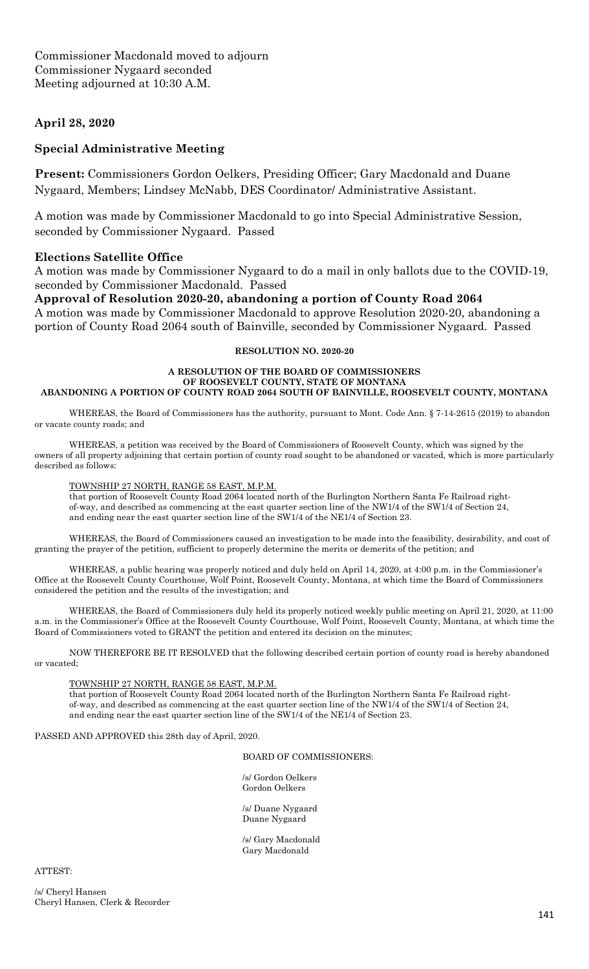#### **April 28, 2020**

#### **Special Administrative Meeting**

**Present:** Commissioners Gordon Oelkers, Presiding Officer; Gary Macdonald and Duane Nygaard, Members; Lindsey McNabb, DES Coordinator/ Administrative Assistant.

A motion was made by Commissioner Macdonald to go into Special Administrative Session, seconded by Commissioner Nygaard. Passed

#### **Elections Satellite Office**

A motion was made by Commissioner Nygaard to do a mail in only ballots due to the COVID-19, seconded by Commissioner Macdonald. Passed

**Approval of Resolution 2020-20, abandoning a portion of County Road 2064** A motion was made by Commissioner Macdonald to approve Resolution 2020-20, abandoning a portion of County Road 2064 south of Bainville, seconded by Commissioner Nygaard. Passed

#### **RESOLUTION NO. 2020-20**

#### **A RESOLUTION OF THE BOARD OF COMMISSIONERS OF ROOSEVELT COUNTY, STATE OF MONTANA ABANDONING A PORTION OF COUNTY ROAD 2064 SOUTH OF BAINVILLE, ROOSEVELT COUNTY, MONTANA**

WHEREAS, the Board of Commissioners has the authority, pursuant to Mont. Code Ann. § 7-14-2615 (2019) to abandon or vacate county roads; and

WHEREAS, a petition was received by the Board of Commissioners of Roosevelt County, which was signed by the owners of all property adjoining that certain portion of county road sought to be abandoned or vacated, which is more particularly described as follows:

#### TOWNSHIP 27 NORTH, RANGE 58 EAST, M.P.M.

that portion of Roosevelt County Road 2064 located north of the Burlington Northern Santa Fe Railroad rightof-way, and described as commencing at the east quarter section line of the NW1/4 of the SW1/4 of Section 24, and ending near the east quarter section line of the SW1/4 of the NE1/4 of Section 23.

WHEREAS, the Board of Commissioners caused an investigation to be made into the feasibility, desirability, and cost of granting the prayer of the petition, sufficient to properly determine the merits or demerits of the petition; and

WHEREAS, a public hearing was properly noticed and duly held on April 14, 2020, at 4:00 p.m. in the Commissioner's Office at the Roosevelt County Courthouse, Wolf Point, Roosevelt County, Montana, at which time the Board of Commissioners considered the petition and the results of the investigation; and

WHEREAS, the Board of Commissioners duly held its properly noticed weekly public meeting on April 21, 2020, at 11:00 a.m. in the Commissioner's Office at the Roosevelt County Courthouse, Wolf Point, Roosevelt County, Montana, at which time the Board of Commissioners voted to GRANT the petition and entered its decision on the minutes;

NOW THEREFORE BE IT RESOLVED that the following described certain portion of county road is hereby abandoned or vacated;

#### TOWNSHIP 27 NORTH, RANGE 58 EAST, M.P.M.

that portion of Roosevelt County Road 2064 located north of the Burlington Northern Santa Fe Railroad rightof-way, and described as commencing at the east quarter section line of the NW1/4 of the SW1/4 of Section 24, and ending near the east quarter section line of the SW1/4 of the NE1/4 of Section 23.

PASSED AND APPROVED this 28th day of April, 2020.

#### BOARD OF COMMISSIONERS:

 /s/ Gordon Oelkers Gordon Oelkers

/s/ Duane Nygaard Duane Nygaard

 /s/ Gary Macdonald Gary Macdonald

ATTEST:

/s/ Cheryl Hansen Cheryl Hansen, Clerk & Recorder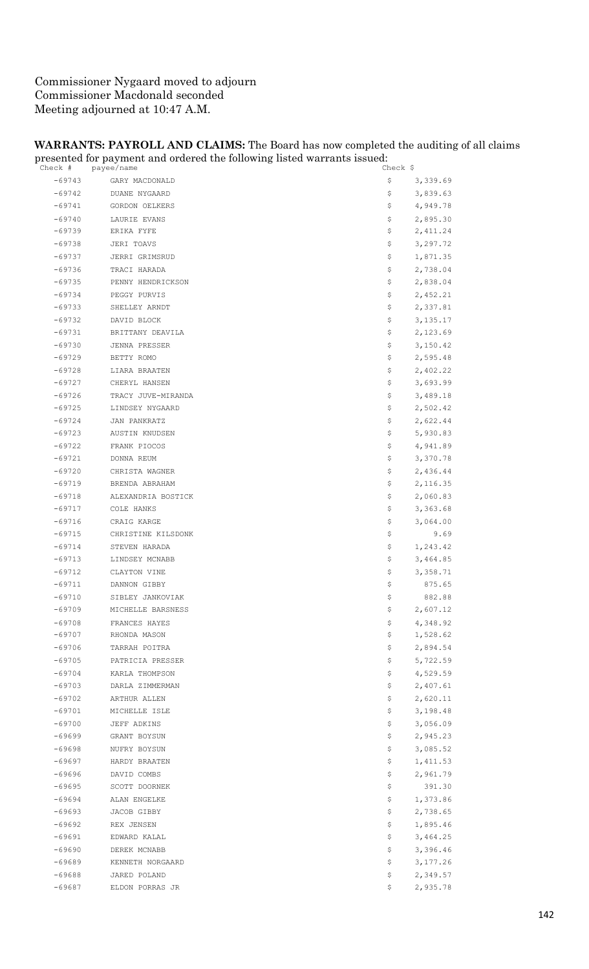## Commissioner Nygaard moved to adjourn Commissioner Macdonald seconded Meeting adjourned at 10:47 A.M.

#### **WARRANTS: PAYROLL AND CLAIMS:** The Board has now completed the auditing of all claims presented for payment and ordered the following listed warrants issued:

|          | $\circ$<br>Check # payee/name | Check $\frac{1}{2}$ |
|----------|-------------------------------|---------------------|
|          | -69743 GARY MACDONALD         | \$<br>3,339.69      |
| $-69742$ | DUANE NYGAARD                 | \$<br>3,839.63      |
| $-69741$ | GORDON OELKERS                | \$<br>4,949.78      |
| -69740   | LAURIE EVANS                  | \$<br>2,895.30      |
| $-69739$ | ERIKA FYFE                    | \$<br>2,411.24      |
| $-69738$ | JERI TOAVS                    | \$<br>3,297.72      |
| $-69737$ | JERRI GRIMSRUD                | 1,871.35<br>Ş.      |
| $-69736$ | TRACI HARADA                  | \$<br>2,738.04      |
| $-69735$ | PENNY HENDRICKSON             | \$<br>2,838.04      |
| $-69734$ | PEGGY PURVIS                  | \$<br>2,452.21      |
| $-69733$ | SHELLEY ARNDT                 | Ş.<br>2,337.81      |
| $-69732$ | DAVID BLOCK                   | 3,135.17<br>Ş.      |
| $-69731$ | BRITTANY DEAVILA              | \$<br>2,123.69      |
| $-69730$ | JENNA PRESSER                 | \$<br>3,150.42      |
| -69729   | BETTY ROMO                    | \$<br>2,595.48      |
| $-69728$ | LIARA BRAATEN                 | 2,402.22<br>\$.     |
| $-69727$ | CHERYL HANSEN                 | 3,693.99<br>\$.     |
| $-69726$ | TRACY JUVE-MIRANDA            | \$<br>3,489.18      |
| $-69725$ | LINDSEY NYGAARD               | 2,502.42<br>Ş.      |
| $-69724$ | JAN PANKRATZ                  | \$<br>2,622.44      |
| $-69723$ | AUSTIN KNUDSEN                | \$<br>5,930.83      |
| $-69722$ | FRANK PIOCOS                  | 4,941.89<br>\$.     |
| $-69721$ | DONNA REUM                    | \$<br>3,370.78      |
| $-69720$ | CHRISTA WAGNER                | \$<br>2,436.44      |
| $-69719$ | BRENDA ABRAHAM                | \$<br>2,116.35      |
| -69718   | ALEXANDRIA BOSTICK            | \$<br>2,060.83      |
| $-69717$ | COLE HANKS                    | 3,363.68<br>Ş.      |
| $-69716$ | CRAIG KARGE                   | 3,064.00<br>Ş.      |
| $-69715$ | CHRISTINE KILSDONK            | \$<br>9.69          |
| $-69714$ | STEVEN HARADA                 | \$<br>1,243.42      |
| $-69713$ | LINDSEY MCNABB                | \$<br>3,464.85      |
| $-69712$ | CLAYTON VINE                  | 3,358.71<br>Ş.      |
| $-69711$ | DANNON GIBBY                  | \$<br>875.65        |
| $-69710$ | SIBLEY JANKOVIAK              | \$<br>882.88        |
| $-69709$ | MICHELLE BARSNESS             | \$<br>2,607.12      |
| $-69708$ | FRANCES HAYES                 | \$<br>4,348.92      |
| $-69707$ | RHONDA MASON                  | \$<br>1,528.62      |
| $-69706$ | TARRAH POITRA                 | 2,894.54<br>\$.     |
| $-69705$ | PATRICIA PRESSER              | \$<br>5,722.59      |
| $-69704$ | KARLA THOMPSON                | \$<br>4,529.59      |
| $-69703$ | DARLA ZIMMERMAN               | \$<br>2,407.61      |
| $-69702$ | ARTHUR ALLEN                  | \$<br>2,620.11      |
| $-69701$ | MICHELLE ISLE                 | \$<br>3,198.48      |
| $-69700$ | JEFF ADKINS                   | \$<br>3,056.09      |
| $-69699$ | GRANT BOYSUN                  | \$<br>2,945.23      |
| -69698   | NUFRY BOYSUN                  | \$<br>3,085.52      |
| -69697   | HARDY BRAATEN                 | \$<br>1,411.53      |
| -69696   | DAVID COMBS                   | \$<br>2,961.79      |
| $-69695$ | SCOTT DOORNEK                 | \$<br>391.30        |
| $-69694$ | ALAN ENGELKE                  | \$<br>1,373.86      |
| $-69693$ | JACOB GIBBY                   | \$<br>2,738.65      |
| -69692   | REX JENSEN                    | \$<br>1,895.46      |
| $-69691$ | EDWARD KALAL                  | \$<br>3,464.25      |
| $-69690$ | DEREK MCNABB                  | \$<br>3,396.46      |
| $-69689$ | KENNETH NORGAARD              | \$<br>3, 177.26     |
| -69688   | JARED POLAND                  | \$<br>2,349.57      |
| -69687   | ELDON PORRAS JR               | \$<br>2,935.78      |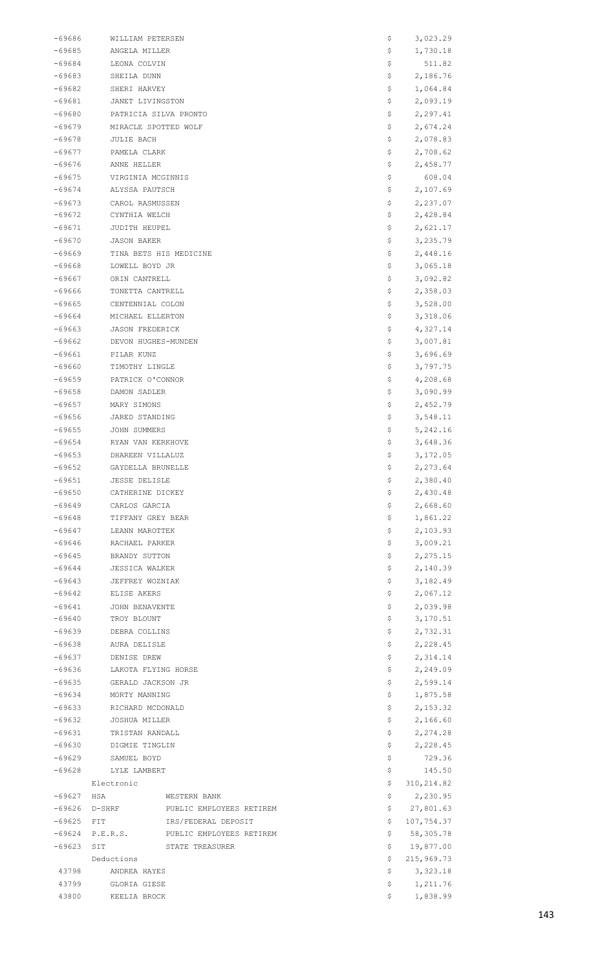| -69686   | WILLIAM PETERSEN                     | Ş   | 3,023.29    |
|----------|--------------------------------------|-----|-------------|
| -69685   | ANGELA MILLER                        | Ş   | 1,730.18    |
| $-69684$ | LEONA COLVIN                         | \$  | 511.82      |
| -69683   | SHEILA DUNN                          | \$  | 2,186.76    |
| -69682   | SHERI HARVEY                         | \$  | 1,064.84    |
| -69681   | JANET LIVINGSTON                     | \$  | 2,093.19    |
| $-69680$ | PATRICIA SILVA PRONTO                | \$  | 2,297.41    |
| $-69679$ | MIRACLE SPOTTED WOLF                 | \$  | 2,674.24    |
| $-69678$ | JULIE BACH                           | \$  | 2,078.83    |
| $-69677$ | PAMELA CLARK                         | \$  | 2,708.62    |
| -69676   | ANNE HELLER                          | \$  | 2,458.77    |
|          |                                      |     |             |
| -69675   | VIRGINIA MCGINNIS                    | \$  | 608.04      |
| -69674   | ALYSSA PAUTSCH                       | Ş   | 2,107.69    |
| $-69673$ | CAROL RASMUSSEN                      | Ş   | 2,237.07    |
| $-69672$ | CYNTHIA WELCH                        | Ş   | 2,428.84    |
| $-69671$ | JUDITH HEUPEL                        | \$  | 2,621.17    |
| $-69670$ | JASON BAKER                          | \$  | 3,235.79    |
| -69669   | TINA BETS HIS MEDICINE               | \$  | 2,448.16    |
| -69668   | LOWELL BOYD JR                       | \$  | 3,065.18    |
| $-69667$ | ORIN CANTRELL                        | Ş   | 3,092.82    |
| -69666   | TONETTA CANTRELL                     | \$  | 2,358.03    |
| -69665   | CENTENNIAL COLON                     | \$  | 3,528.00    |
| -69664   | MICHAEL ELLERTON                     | \$  | 3,318.06    |
| $-69663$ | <b>JASON FREDERICK</b>               | \$  | 4,327.14    |
| $-69662$ | DEVON HUGHES-MUNDEN                  | Ş   | 3,007.81    |
| -69661   | PILAR KUNZ                           | \$  | 3,696.69    |
| -69660   | TIMOTHY LINGLE                       | \$  | 3,797.75    |
| $-69659$ | PATRICK O'CONNOR                     | \$  | 4,208.68    |
| -69658   | DAMON SADLER                         | \$  | 3,090.99    |
|          |                                      |     |             |
| $-69657$ | MARY SIMONS                          | \$  | 2,452.79    |
| $-69656$ | JARED STANDING                       | Ş   | 3,548.11    |
| $-69655$ | JOHN SUMMERS                         | \$  | 5,242.16    |
| -69654   | RYAN VAN KERKHOVE                    | \$  | 3,648.36    |
| -69653   | DHAREEN VILLALUZ                     | \$  | 3,172.05    |
| $-69652$ | GAYDELLA BRUNELLE                    | \$  | 2,273.64    |
| $-69651$ | <b>JESSE DELISLE</b>                 | \$  | 2,380.40    |
| $-69650$ | CATHERINE DICKEY                     | \$  | 2,430.48    |
| -69649   | CARLOS GARCIA                        | \$  | 2,668.60    |
| -69648   | TIFFANY GREY BEAR                    | \$  | 1,861.22    |
| $-69647$ | LEANN MAROTTEK                       | \$  | 2,103.93    |
| $-69646$ | RACHAEL PARKER                       | \$  | 3,009.21    |
| $-69645$ | BRANDY SUTTON                        | Ş.  | 2,275.15    |
| -69644   | JESSICA WALKER                       | \$  | 2,140.39    |
| $-69643$ | JEFFREY WOZNIAK                      | \$  | 3,182.49    |
| -69642   | ELISE AKERS                          | \$  | 2,067.12    |
| $-69641$ | JOHN BENAVENTE                       | \$  | 2,039.98    |
| $-69640$ | TROY BLOUNT                          | \$  | 3,170.51    |
| $-69639$ | DEBRA COLLINS                        | \$  | 2,732.31    |
| -69638   | AURA DELISLE                         | \$  | 2,228.45    |
|          |                                      |     |             |
| $-69637$ | DENISE DREW                          | \$  | 2,314.14    |
| $-69636$ | LAKOTA FLYING HORSE                  | \$  | 2,249.09    |
| $-69635$ | GERALD JACKSON JR                    | \$  | 2,599.14    |
| -69634   | MORTY MANNING                        | Ş.  | 1,875.58    |
| -69633   | RICHARD MCDONALD                     | \$  | 2,153.32    |
| $-69632$ | JOSHUA MILLER                        | \$  | 2,166.60    |
| $-69631$ | TRISTAN RANDALL                      | \$  | 2,274.28    |
| $-69630$ | DIGMIE TINGLIN                       | \$  | 2,228.45    |
| $-69629$ | SAMUEL BOYD                          | \$  | 729.36      |
| -69628   | LYLE LAMBERT                         | \$  | 145.50      |
|          | Electronic                           | \$  | 310, 214.82 |
| $-69627$ | HSA<br>WESTERN BANK                  | \$  | 2,230.95    |
| $-69626$ | D-SHRF PUBLIC EMPLOYEES RETIREM      | Ş.  | 27,801.63   |
| $-69625$ | IRS/FEDERAL DEPOSIT<br><b>FIT</b>    | \$. | 107,754.37  |
| -69624   | P.E.R.S.<br>PUBLIC EMPLOYEES RETIREM | \$  | 58,305.78   |
| $-69623$ | SIT<br>STATE TREASURER               | \$  | 19,877.00   |
|          | Deductions                           | Ş.  | 215,969.73  |
| 43798    | ANDREA HAYES                         | \$  | 3,323.18    |
| 43799    | GLORIA GIESE                         | \$  | 1,211.76    |
| 43800    | KEELIA BROCK                         | S.  | 1,838.99    |
|          |                                      |     |             |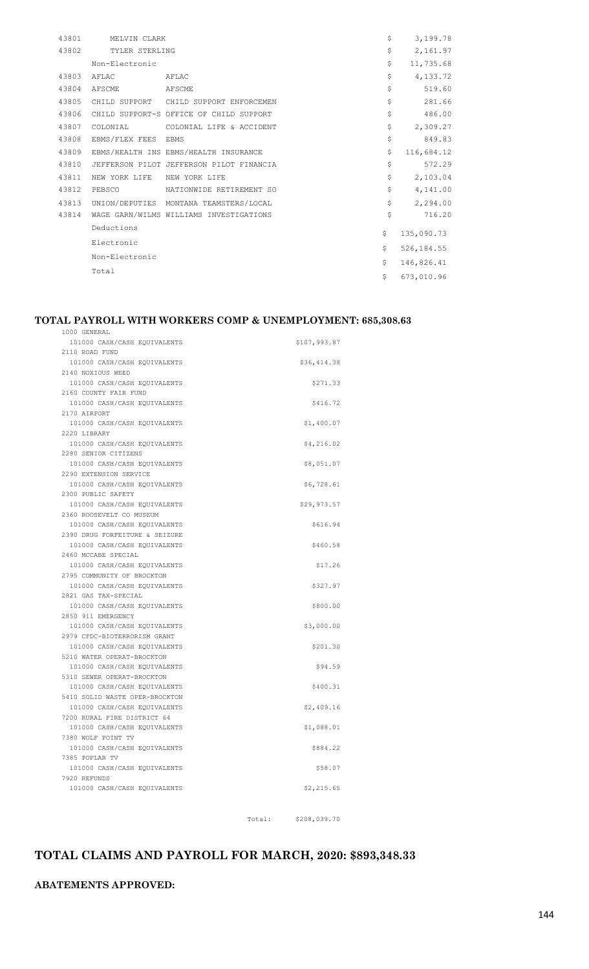| 43801 | MELVIN CLARK        |                                          | \$<br>3,199.78   |
|-------|---------------------|------------------------------------------|------------------|
| 43802 | TYLER STERLING      |                                          | \$<br>2,161.97   |
|       | Non-Electronic      |                                          | \$<br>11,735.68  |
| 43803 | AFLAC               | AFLAC                                    | \$<br>4,133.72   |
| 43804 | AFSCME              | AFSCME                                   | \$<br>519.60     |
| 43805 |                     | CHILD SUPPORT CHILD SUPPORT ENFORCEMEN   | \$<br>281.66     |
| 43806 |                     | CHILD SUPPORT-S OFFICE OF CHILD SUPPORT  | \$<br>486.00     |
| 43807 | COLONIAL            | COLONIAL LIFE & ACCIDENT                 | \$<br>2,309.27   |
| 43808 | EBMS/FLEX FEES EBMS |                                          | \$<br>849.83     |
| 43809 |                     | EBMS/HEALTH INS EBMS/HEALTH INSURANCE    | \$<br>116,684.12 |
| 43810 |                     | JEFFERSON PILOT JEFFERSON PILOT FINANCIA | \$<br>572.29     |
| 43811 | NEW YORK LIFE       | NEW YORK LIFE                            | \$<br>2,103.04   |
| 43812 | PEBSCO              | NATIONWIDE RETIREMENT SO                 | \$<br>4,141.00   |
| 43813 |                     | UNION/DEPUTIES MONTANA TEAMSTERS/LOCAL   | \$<br>2,294.00   |
| 43814 |                     | WAGE GARN/WILMS WILLIAMS INVESTIGATIONS  | \$<br>716.20     |
|       | Deductions          |                                          | \$<br>135,090.73 |
|       | Electronic          |                                          |                  |
|       | Non-Electronic      |                                          | \$<br>526,184.55 |
|       | Total               |                                          | \$<br>146,826.41 |
|       |                     |                                          | \$<br>673,010.96 |

#### **TOTAL PAYROLL WITH WORKERS COMP & UNEMPLOYMENT: 685,308.63**

1000 GENERAL

| 101000 CASH/CASH EQUIVALENTS                               | \$107,993.87 |
|------------------------------------------------------------|--------------|
| 2110 ROAD FUND                                             |              |
| 101000 CASH/CASH EQUIVALENTS                               | \$36,414.38  |
| 2140 NOXIOUS WEED                                          |              |
| 101000 CASH/CASH EQUIVALENTS                               | \$271.33     |
| 2160 COUNTY FAIR FUND                                      |              |
| 101000 CASH/CASH EQUIVALENTS                               | \$416.72     |
| 2170 AIRPORT                                               |              |
| 101000 CASH/CASH EQUIVALENTS                               | \$1,400.07   |
| 2220 LIBRARY                                               |              |
| 101000 CASH/CASH EQUIVALENTS                               | \$4,216.02   |
| 2280 SENIOR CITIZENS                                       |              |
| 101000 CASH/CASH EQUIVALENTS                               | \$8,051.07   |
| 2290 EXTENSION SERVICE                                     |              |
| 101000 CASH/CASH EQUIVALENTS                               | \$6,728.61   |
| 2300 PUBLIC SAFETY                                         |              |
| 101000 CASH/CASH EQUIVALENTS                               | \$29,973.57  |
| 2360 ROOSEVELT CO MUSEUM                                   |              |
| 101000 CASH/CASH EQUIVALENTS                               | \$616.94     |
| 2390 DRUG FORFEITURE & SEIZURE                             |              |
| 101000 CASH/CASH EQUIVALENTS                               | \$460.58     |
| 2460 MCCABE SPECIAL                                        |              |
| 101000 CASH/CASH EQUIVALENTS                               | \$17.26      |
| 2795 COMMUNITY OF BROCKTON<br>101000 CASH/CASH EQUIVALENTS |              |
| 2821 GAS TAX-SPECIAL                                       | \$327.97     |
| 101000 CASH/CASH EQUIVALENTS                               | \$800.00     |
| 2850 911 EMERGENCY                                         |              |
| 101000 CASH/CASH EQUIVALENTS                               | \$3,000.00   |
| 2979 CFDC-BIOTERRORISM GRANT                               |              |
| 101000 CASH/CASH EQUIVALENTS                               | \$201.30     |
| 5210 WATER OPERAT-BROCKTON                                 |              |
| 101000 CASH/CASH EQUIVALENTS                               | \$94.59      |
| 5310 SEWER OPERAT-BROCKTON                                 |              |
| 101000 CASH/CASH EQUIVALENTS                               | \$400.31     |
| 5410 SOLID WASTE OPER-BROCKTON                             |              |
| 101000 CASH/CASH EQUIVALENTS                               | \$2,409.16   |
| 7200 RURAL FIRE DISTRICT 64                                |              |
| 101000 CASH/CASH EOUIVALENTS                               | \$1,088.01   |
| 7380 WOLF POINT TV                                         |              |
| 101000 CASH/CASH EQUIVALENTS                               | \$884.22     |
| 7385 POPLAR TV                                             |              |
| 101000 CASH/CASH EQUIVALENTS                               | \$58.07      |
| 7920 REFUNDS                                               |              |
| 101000 CASH/CASH EQUIVALENTS                               | \$2, 215.65  |
|                                                            |              |
|                                                            |              |

Total: \$208,039.70

## **TOTAL CLAIMS AND PAYROLL FOR MARCH, 2020: \$893,348.33**

**ABATEMENTS APPROVED:**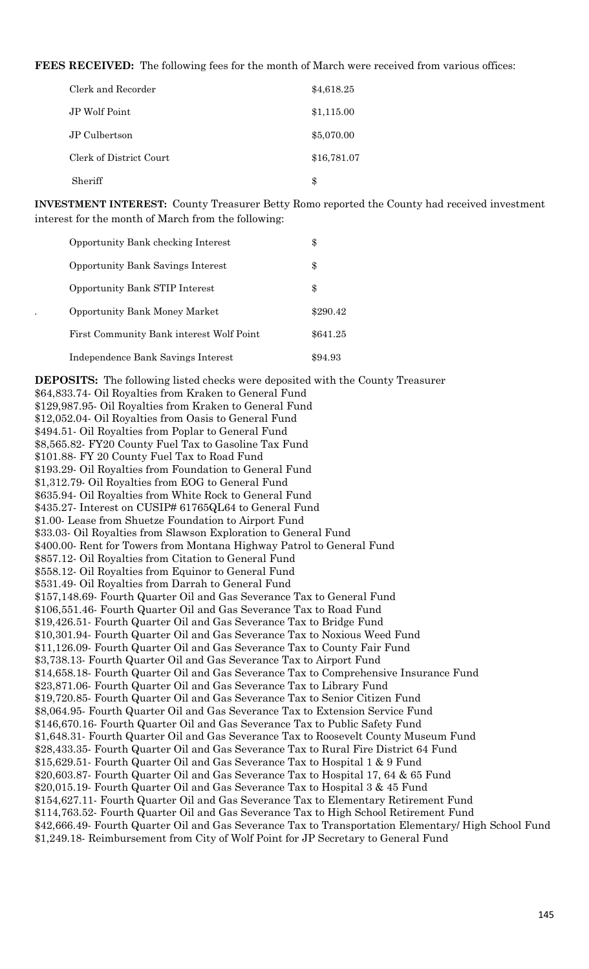**FEES RECEIVED:** The following fees for the month of March were received from various offices:

| Clerk and Recorder      | \$4,618.25  |
|-------------------------|-------------|
| JP Wolf Point           | \$1,115.00  |
| JP Culbertson           | \$5,070.00  |
| Clerk of District Court | \$16,781.07 |
| Sheriff                 | \$          |

**INVESTMENT INTEREST:** County Treasurer Betty Romo reported the County had received investment interest for the month of March from the following:

| Opportunity Bank checking Interest       | \$       |
|------------------------------------------|----------|
| <b>Opportunity Bank Savings Interest</b> | \$       |
| Opportunity Bank STIP Interest           | \$       |
| <b>Opportunity Bank Money Market</b>     | \$290.42 |
| First Community Bank interest Wolf Point | \$641.25 |
| Independence Bank Savings Interest       | \$94.93  |

**DEPOSITS:** The following listed checks were deposited with the County Treasurer \$64,833.74- Oil Royalties from Kraken to General Fund \$129,987.95- Oil Royalties from Kraken to General Fund \$12,052.04- Oil Royalties from Oasis to General Fund \$494.51- Oil Royalties from Poplar to General Fund \$8,565.82- FY20 County Fuel Tax to Gasoline Tax Fund \$101.88- FY 20 County Fuel Tax to Road Fund \$193.29- Oil Royalties from Foundation to General Fund \$1,312.79- Oil Royalties from EOG to General Fund \$635.94- Oil Royalties from White Rock to General Fund \$435.27- Interest on CUSIP# 61765QL64 to General Fund \$1.00- Lease from Shuetze Foundation to Airport Fund \$33.03- Oil Royalties from Slawson Exploration to General Fund \$400.00- Rent for Towers from Montana Highway Patrol to General Fund \$857.12- Oil Royalties from Citation to General Fund \$558.12- Oil Royalties from Equinor to General Fund \$531.49- Oil Royalties from Darrah to General Fund \$157,148.69- Fourth Quarter Oil and Gas Severance Tax to General Fund \$106,551.46- Fourth Quarter Oil and Gas Severance Tax to Road Fund \$19,426.51- Fourth Quarter Oil and Gas Severance Tax to Bridge Fund \$10,301.94- Fourth Quarter Oil and Gas Severance Tax to Noxious Weed Fund \$11,126.09- Fourth Quarter Oil and Gas Severance Tax to County Fair Fund \$3,738.13- Fourth Quarter Oil and Gas Severance Tax to Airport Fund \$14,658.18- Fourth Quarter Oil and Gas Severance Tax to Comprehensive Insurance Fund \$23,871.06- Fourth Quarter Oil and Gas Severance Tax to Library Fund \$19,720.85- Fourth Quarter Oil and Gas Severance Tax to Senior Citizen Fund \$8,064.95- Fourth Quarter Oil and Gas Severance Tax to Extension Service Fund \$146,670.16- Fourth Quarter Oil and Gas Severance Tax to Public Safety Fund \$1,648.31- Fourth Quarter Oil and Gas Severance Tax to Roosevelt County Museum Fund \$28,433.35- Fourth Quarter Oil and Gas Severance Tax to Rural Fire District 64 Fund \$15,629.51- Fourth Quarter Oil and Gas Severance Tax to Hospital 1 & 9 Fund \$20,603.87- Fourth Quarter Oil and Gas Severance Tax to Hospital 17, 64 & 65 Fund \$20,015.19- Fourth Quarter Oil and Gas Severance Tax to Hospital 3 & 45 Fund \$154,627.11- Fourth Quarter Oil and Gas Severance Tax to Elementary Retirement Fund \$114,763.52- Fourth Quarter Oil and Gas Severance Tax to High School Retirement Fund \$42,666.49- Fourth Quarter Oil and Gas Severance Tax to Transportation Elementary/ High School Fund \$1,249.18- Reimbursement from City of Wolf Point for JP Secretary to General Fund